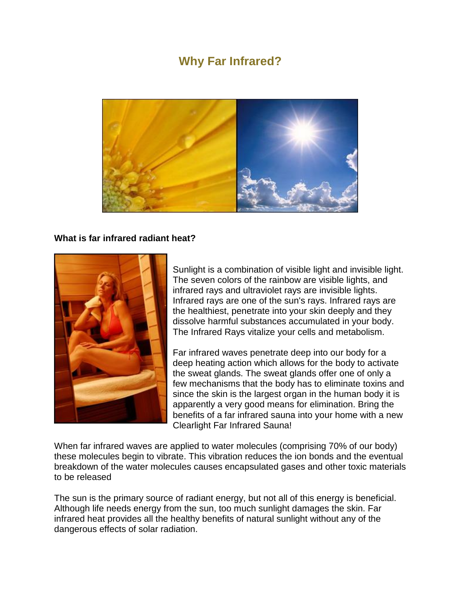# **Why Far Infrared?**



#### **What is far infrared radiant heat?**



Sunlight is a combination of visible light and invisible light. The seven colors of the rainbow are visible lights, and infrared rays and ultraviolet rays are invisible lights. Infrared rays are one of the sun's rays. Infrared rays are the healthiest, penetrate into your skin deeply and they dissolve harmful substances accumulated in your body. The Infrared Rays vitalize your cells and metabolism.

Far infrared waves penetrate deep into our body for a deep heating action which allows for the body to activate the sweat glands. The sweat glands offer one of only a few mechanisms that the body has to eliminate toxins and since the skin is the largest organ in the human body it is apparently a very good means for elimination. Bring the benefits of a far infrared sauna into your home with a new Clearlight Far Infrared Sauna!

When far infrared waves are applied to water molecules (comprising 70% of our body) these molecules begin to vibrate. This vibration reduces the ion bonds and the eventual breakdown of the water molecules causes encapsulated gases and other toxic materials to be released

The sun is the primary source of radiant energy, but not all of this energy is beneficial. Although life needs energy from the sun, too much sunlight damages the skin. Far infrared heat provides all the healthy benefits of natural sunlight without any of the dangerous effects of solar radiation.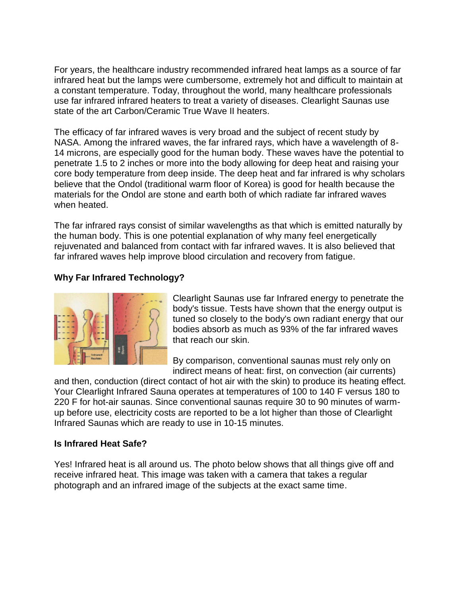For years, the healthcare industry recommended infrared heat lamps as a source of far infrared heat but the lamps were cumbersome, extremely hot and difficult to maintain at a constant temperature. Today, throughout the world, many healthcare professionals use far infrared infrared heaters to treat a variety of diseases. Clearlight Saunas use state of the art Carbon/Ceramic True Wave II heaters.

The efficacy of far infrared waves is very broad and the subject of recent study by NASA. Among the infrared waves, the far infrared rays, which have a wavelength of 8- 14 microns, are especially good for the human body. These waves have the potential to penetrate 1.5 to 2 inches or more into the body allowing for deep heat and raising your core body temperature from deep inside. The deep heat and far infrared is why scholars believe that the Ondol (traditional warm floor of Korea) is good for health because the materials for the Ondol are stone and earth both of which radiate far infrared waves when heated.

The far infrared rays consist of similar wavelengths as that which is emitted naturally by the human body. This is one potential explanation of why many feel energetically rejuvenated and balanced from contact with far infrared waves. It is also believed that far infrared waves help improve blood circulation and recovery from fatigue.

# **Why Far Infrared Technology?**



Clearlight Saunas use far Infrared energy to penetrate the body's tissue. Tests have shown that the energy output is tuned so closely to the body's own radiant energy that our bodies absorb as much as 93% of the far infrared waves that reach our skin.

By comparison, conventional saunas must rely only on indirect means of heat: first, on convection (air currents)

and then, conduction (direct contact of hot air with the skin) to produce its heating effect. Your Clearlight Infrared Sauna operates at temperatures of 100 to 140 F versus 180 to 220 F for hot-air saunas. Since conventional saunas require 30 to 90 minutes of warmup before use, electricity costs are reported to be a lot higher than those of Clearlight Infrared Saunas which are ready to use in 10-15 minutes.

## **Is Infrared Heat Safe?**

Yes! Infrared heat is all around us. The photo below shows that all things give off and receive infrared heat. This image was taken with a camera that takes a regular photograph and an infrared image of the subjects at the exact same time.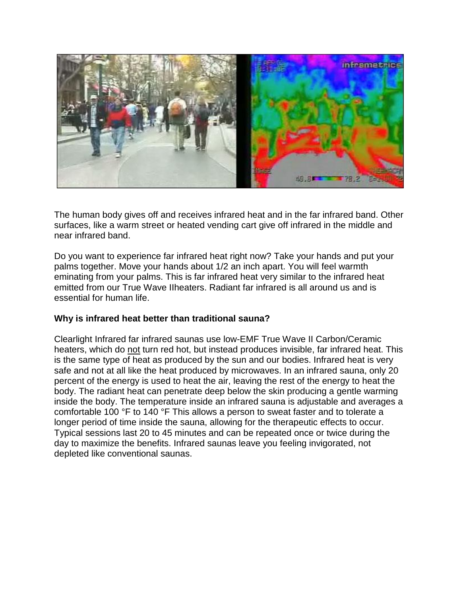

The human body gives off and receives infrared heat and in the far infrared band. Other surfaces, like a warm street or heated vending cart give off infrared in the middle and near infrared band.

Do you want to experience far infrared heat right now? Take your hands and put your palms together. Move your hands about 1/2 an inch apart. You will feel warmth eminating from your palms. This is far infrared heat very similar to the infrared heat emitted from our True Wave IIheaters. Radiant far infrared is all around us and is essential for human life.

## **Why is infrared heat better than traditional sauna?**

Clearlight Infrared far infrared saunas use low-EMF True Wave II Carbon/Ceramic heaters, which do not turn red hot, but instead produces invisible, far infrared heat. This is the same type of heat as produced by the sun and our bodies. Infrared heat is very safe and not at all like the heat produced by microwaves. In an infrared sauna, only 20 percent of the energy is used to heat the air, leaving the rest of the energy to heat the body. The radiant heat can penetrate deep below the skin producing a gentle warming inside the body. The temperature inside an infrared sauna is adjustable and averages a comfortable 100 °F to 140 °F This allows a person to sweat faster and to tolerate a longer period of time inside the sauna, allowing for the therapeutic effects to occur. Typical sessions last 20 to 45 minutes and can be repeated once or twice during the day to maximize the benefits. Infrared saunas leave you feeling invigorated, not depleted like conventional saunas.